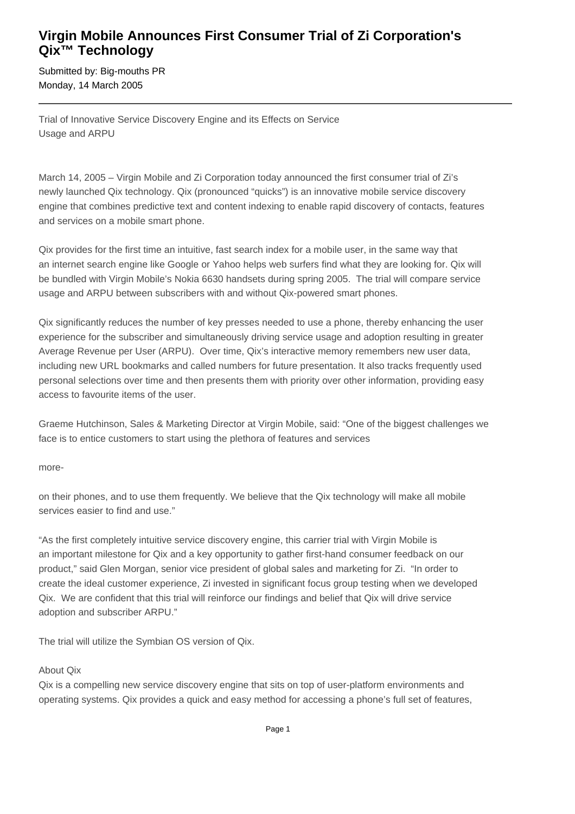# **Virgin Mobile Announces First Consumer Trial of Zi Corporation's Qix™ Technology**

Submitted by: Big-mouths PR Monday, 14 March 2005

Trial of Innovative Service Discovery Engine and its Effects on Service Usage and ARPU

March 14, 2005 – Virgin Mobile and Zi Corporation today announced the first consumer trial of Zi's newly launched Qix technology. Qix (pronounced "quicks") is an innovative mobile service discovery engine that combines predictive text and content indexing to enable rapid discovery of contacts, features and services on a mobile smart phone.

Qix provides for the first time an intuitive, fast search index for a mobile user, in the same way that an internet search engine like Google or Yahoo helps web surfers find what they are looking for. Qix will be bundled with Virgin Mobile's Nokia 6630 handsets during spring 2005. The trial will compare service usage and ARPU between subscribers with and without Qix-powered smart phones.

Qix significantly reduces the number of key presses needed to use a phone, thereby enhancing the user experience for the subscriber and simultaneously driving service usage and adoption resulting in greater Average Revenue per User (ARPU). Over time, Qix's interactive memory remembers new user data, including new URL bookmarks and called numbers for future presentation. It also tracks frequently used personal selections over time and then presents them with priority over other information, providing easy access to favourite items of the user.

Graeme Hutchinson, Sales & Marketing Director at Virgin Mobile, said: "One of the biggest challenges we face is to entice customers to start using the plethora of features and services

more-

on their phones, and to use them frequently. We believe that the Qix technology will make all mobile services easier to find and use."

"As the first completely intuitive service discovery engine, this carrier trial with Virgin Mobile is an important milestone for Qix and a key opportunity to gather first-hand consumer feedback on our product," said Glen Morgan, senior vice president of global sales and marketing for Zi. "In order to create the ideal customer experience, Zi invested in significant focus group testing when we developed Qix. We are confident that this trial will reinforce our findings and belief that Qix will drive service adoption and subscriber ARPU."

The trial will utilize the Symbian OS version of Qix.

### About Qix

Qix is a compelling new service discovery engine that sits on top of user-platform environments and operating systems. Qix provides a quick and easy method for accessing a phone's full set of features,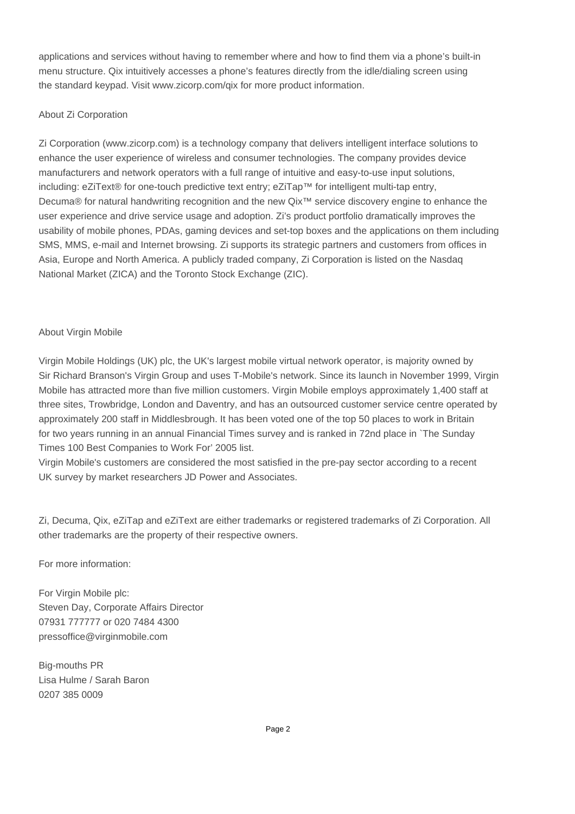applications and services without having to remember where and how to find them via a phone's built-in menu structure. Qix intuitively accesses a phone's features directly from the idle/dialing screen using the standard keypad. Visit www.zicorp.com/qix for more product information.

### About Zi Corporation

Zi Corporation (www.zicorp.com) is a technology company that delivers intelligent interface solutions to enhance the user experience of wireless and consumer technologies. The company provides device manufacturers and network operators with a full range of intuitive and easy-to-use input solutions, including: eZiText® for one-touch predictive text entry; eZiTap™ for intelligent multi-tap entry, Decuma® for natural handwriting recognition and the new Qix™ service discovery engine to enhance the user experience and drive service usage and adoption. Zi's product portfolio dramatically improves the usability of mobile phones, PDAs, gaming devices and set-top boxes and the applications on them including SMS, MMS, e-mail and Internet browsing. Zi supports its strategic partners and customers from offices in Asia, Europe and North America. A publicly traded company, Zi Corporation is listed on the Nasdaq National Market (ZICA) and the Toronto Stock Exchange (ZIC).

## About Virgin Mobile

Virgin Mobile Holdings (UK) plc, the UK's largest mobile virtual network operator, is majority owned by Sir Richard Branson's Virgin Group and uses T-Mobile's network. Since its launch in November 1999, Virgin Mobile has attracted more than five million customers. Virgin Mobile employs approximately 1,400 staff at three sites, Trowbridge, London and Daventry, and has an outsourced customer service centre operated by approximately 200 staff in Middlesbrough. It has been voted one of the top 50 places to work in Britain for two years running in an annual Financial Times survey and is ranked in 72nd place in `The Sunday Times 100 Best Companies to Work For' 2005 list.

Virgin Mobile's customers are considered the most satisfied in the pre-pay sector according to a recent UK survey by market researchers JD Power and Associates.

Zi, Decuma, Qix, eZiTap and eZiText are either trademarks or registered trademarks of Zi Corporation. All other trademarks are the property of their respective owners.

For more information:

For Virgin Mobile plc: Steven Day, Corporate Affairs Director 07931 777777 or 020 7484 4300 pressoffice@virginmobile.com

Big-mouths PR Lisa Hulme / Sarah Baron 0207 385 0009